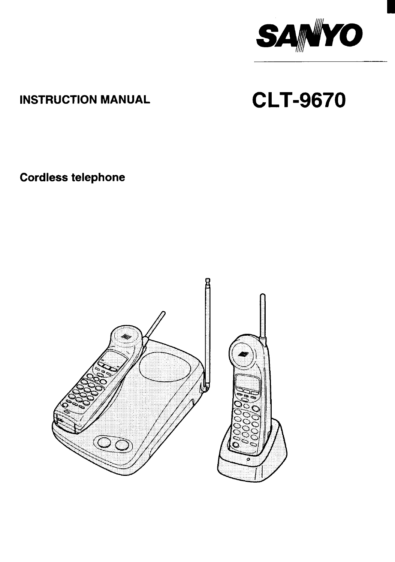

# **INSTRUCTION MANUAL**

# **CLT-9670**

**Cordless telephone** 

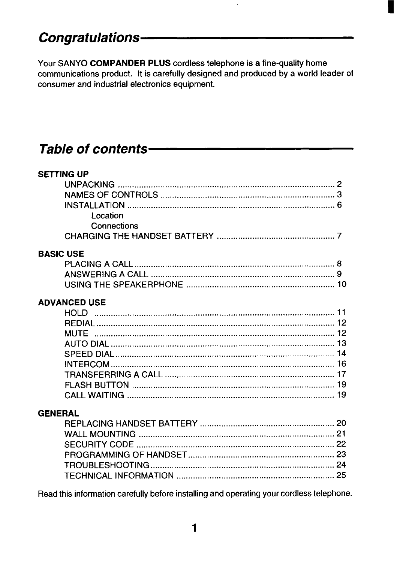# **Congratulations-**

Your SANYO COMPANDER PLUS cordless telephone is a fine-quality home communications product. It is carefully designed and produced by a world leader of consumer and industrial electronics equipment.

# Table of contents-

| <b>SETTING UP</b>                                                                        |  |
|------------------------------------------------------------------------------------------|--|
|                                                                                          |  |
|                                                                                          |  |
|                                                                                          |  |
| Location                                                                                 |  |
| Connections                                                                              |  |
|                                                                                          |  |
| <b>BASIC USE</b>                                                                         |  |
|                                                                                          |  |
|                                                                                          |  |
|                                                                                          |  |
|                                                                                          |  |
| <b>ADVANCED USE</b>                                                                      |  |
|                                                                                          |  |
|                                                                                          |  |
|                                                                                          |  |
|                                                                                          |  |
|                                                                                          |  |
|                                                                                          |  |
|                                                                                          |  |
|                                                                                          |  |
|                                                                                          |  |
|                                                                                          |  |
| <b>GENERAL</b>                                                                           |  |
|                                                                                          |  |
|                                                                                          |  |
|                                                                                          |  |
|                                                                                          |  |
|                                                                                          |  |
|                                                                                          |  |
| Read this information carefully before installing and operating your cordless telephone. |  |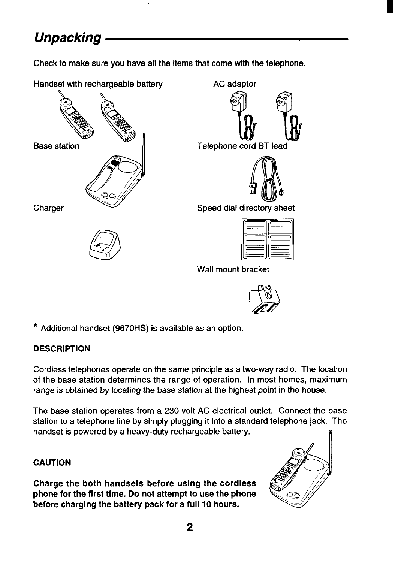# <span id="page-2-0"></span>**Unpacking**

**Check to make sure you have all the items that come with the telephone,**



**I!ii%** <sup>0</sup> <sup>0</sup>



| la l<br>Ы<br>Ġ<br>directory sheet |  |
|-----------------------------------|--|
|                                   |  |

**Wall mount bracket**



**\* Additional handset (9670HS) is available as an option.**

### **DESCRIPTION**

**Cordless telephones operate on the same principle as a two-way radio. The location of the base station determines the range of operation. In most homes, maximum range is obtained by locating the base station at the highest point in the house.**

**The base station operates from a 230 volt AC electrical outlet. Connect the base station to a telephone line by simply plugging it into a standard telephone jack. The handset is powered by <sup>a</sup> heavy-duty rechargeable battery. <sup>n</sup>**

### **CAUTION**

**Charge the both handsets before using the cordless phone for the first time. Do not attempt to use the phone before charging the battery pack for a full 10 hours.**

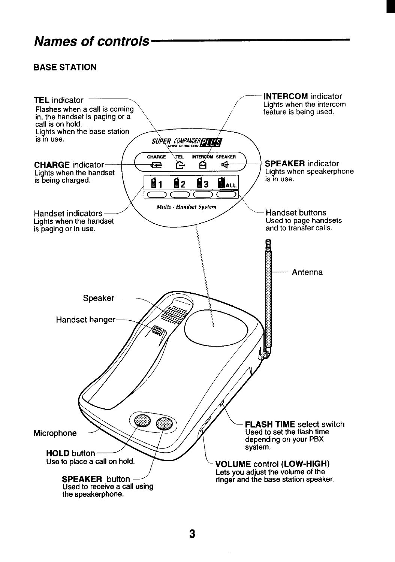# <span id="page-3-0"></span>Names of controls.

# **BASE STATION**

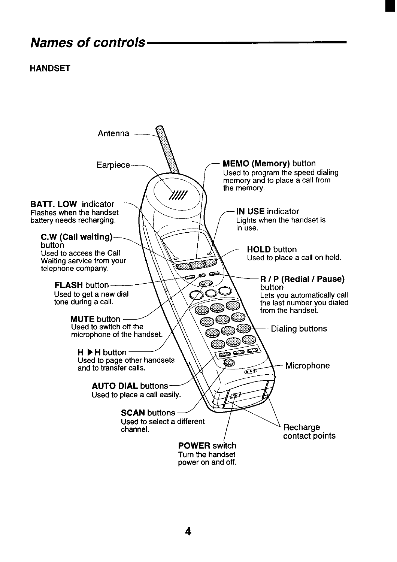# Names of controls.

### **HANDSET**

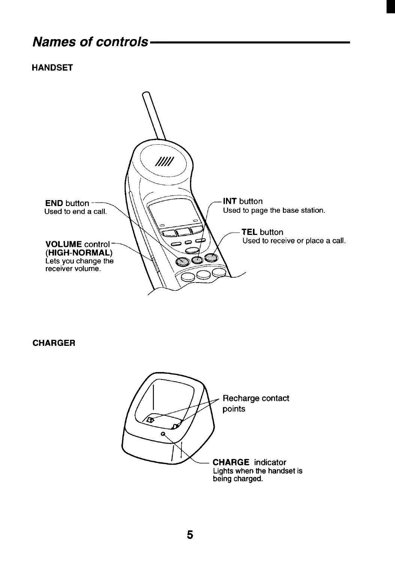# **Names of controls**

### **HANDSET**



#### **CHARGER**

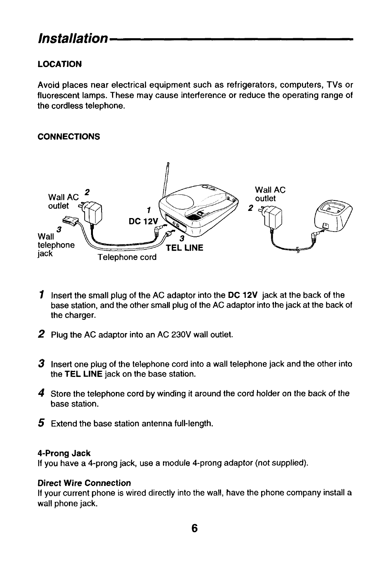# <span id="page-6-0"></span>**Installation**

# **LOCATION**

**Avoid places near electrical equipment such as refrigerators, computers, TVs or fluorescent lamps. These may cause interference or reduce the operating range of the cordless telephone.**

### **CONNECTIONS**



- 1 **Insert the small plug of the AC adaptor into the DC 12V jack at the back of the base station, and the other small plug of the AC adaptor into the jack at the back of the charger.**
- **2 Plug the AC adaptor into an AC 230V wall outlet.**
- **3 Insert one plug of the telephone cord into a wall telephone jack and the other into the TEL LINE jack on the base station.**
- **4 Store the telephone cord by winding it around the cord holder on the back of the base station.**
- **5 Extend the base station antenna full-length.**

#### **4-Prong Jack**

**If you have a 4-prong jack, use a module 4-prong adaptor (not supplied).**

#### **Direct Wire Connection**

**If your current phone is wired directly into the wall, have the phone company install a wall phone jack.**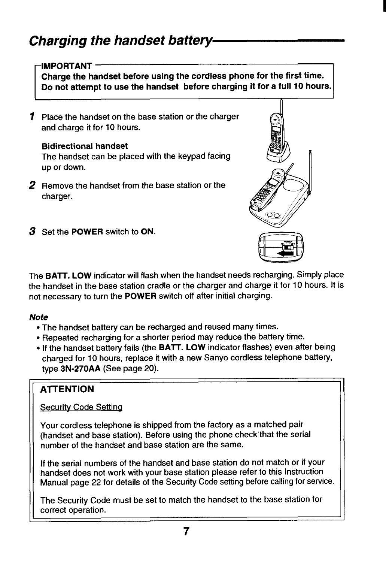### <span id="page-7-0"></span>**IMPORTANT**

Charge the handset before using the cordless phone for the first time. Do not attempt to use the handset before charging it for a full 10 hours.

1 Place the handset on the base station or the charger and charge it for 10 hours.

### **Bidirectional handset**

The handset can be placed with the keypad facing up or down.

2 Remove the handset from the base station or the charger.



3 Set the POWER switch to ON.

**The BAIT. LOW indicator will flash when the handset needs recharging. Simply place the handset in the base station cradle or the charger and charge it for 10 hours. It is not necessary to turn the POWER switch off after initial charging.**

### **Note**

- **The handset battery can be recharged and reused many times.**
- **Repeated recharging for a shorter period may reduce the battery time.**
- **If the handset battery fails (the BAIT. LOW indicator flashes) even after being charged for 10 hours, replace it with a new Sanyo cordless telephone battery, type 3N-270AA (See page 20).**

#### **I** *B M M M M M M M M M M M M M* **AITENTION**

### **Securitv Code Setting**

**Your cordless telephone is shipped from the factory as a matched pair (handset and base station). Before using the phone check'that the serial number of the handset and base station are the same.**

**If the serial numbers of the handset and base station do not match or if your handset does not work with your base station please refer to this Instruction Manual page 22 for details of the Security Code setting before calling for service.**

**The Security Code must be set to match the handset to the base station for correct operation.**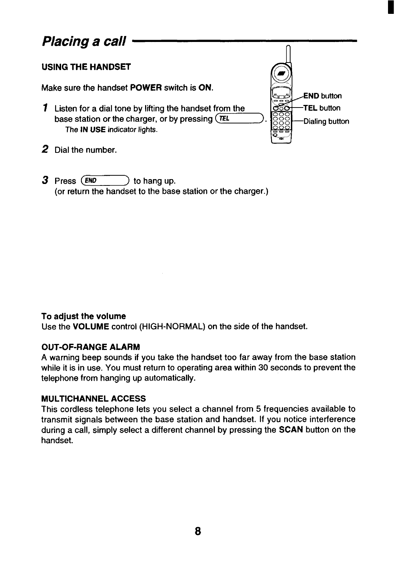# <span id="page-8-0"></span>**Placing a call**

### **USING THE HANDSET**

**Make sure the handset POWER switch is ON.**

- **~ Listen for a dial tone by lifting the handset from the ';= TEL button base** station or the charger, or by pressing  $(TEL)$ .  $|{}^{000}_{000}|$  Dialing button **The <b>IN** USE indicator lights.
- **z Dial the number.**
- **3** Press (END) to hang up. **(or return the handset to the base station or the charger.)**

#### **To adjust the volume**

**Use the VOLUME control (HIGH-NORMAL) on the side of the handset.**

#### **OUT-OF-RANGE ALARM**

**A warning beep sounds if you take the handset too far away from the base station while it is in use. You must return to operating area within 30 seconds to prevent the telephone from hanging up automatically.**

**n**

**Q EN. button**

**c)m**

**B**

**~**

#### **MULTICHANNEL ACCESS**

**This cordless telephone lets you select a channel from 5 frequencies available to transmit signals between the base station and handset. If you notice interference during a call, simply select a different channel by pressing the SCAN button on the handset.**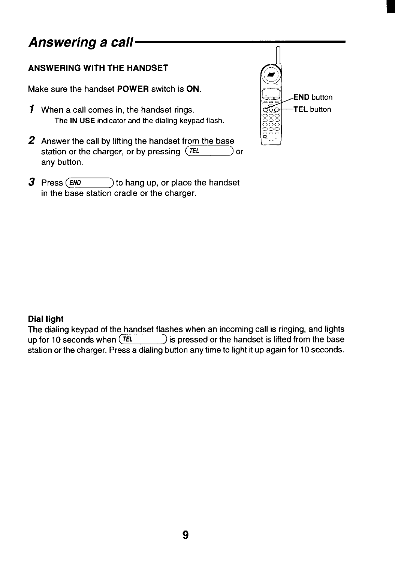# <span id="page-9-0"></span>**Answering a call**

# **ANSWERING WITH THE HANDSET**

**Make sure the handset POWER switch is ON. m!**

- **1** When a call comes in, the handset rings.  $\frac{1}{200}$  TEL button **The IN USE indicatorand the dialingkeypadflash.**
- **2 Answer the call by lifting the handset from the base station** or the charger, or by pressing  $(\overline{TEL})$  or **any button.**
- 3 Press (END **Press** *(E~]* **to hang up, or place the handset in the base station cradle or the charger.**



### **Dial light**

**The dialing keypad of the handset flashes when an incoming call is ringing, and lights up for 10 seconds when (~> is pressed or the handset is lifted from the base station or the charger. Press a dialing button anytime to light it up again for 10 seconds.**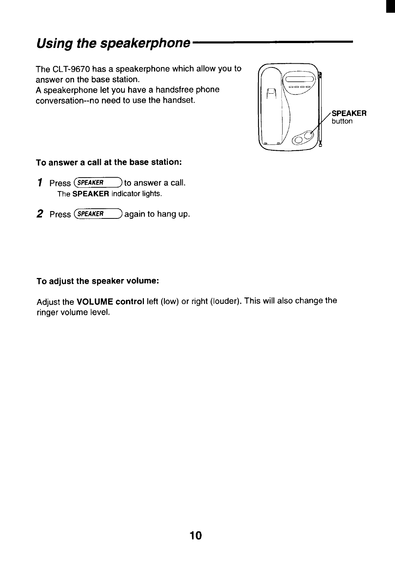# <span id="page-10-0"></span>**Using the speakerphone**

**The CLT-9670 has a speakerphone which allow you to answer on the base station. A speakerphone let you have a handsfree phone conversation--no need to use the handset.**



#### **To answer a call at the base station:**

- **1** Press  $\overline{SPEAKER}$  to answer a call. **The SPEAKER** indicator lights.
- *z* **Press**  $(FFAKER)$  again to hang up.

#### **To adjust the speaker volume:**

**Adjust the VOLUME control left (low) or right (louder). This will also change the ringer volume level.**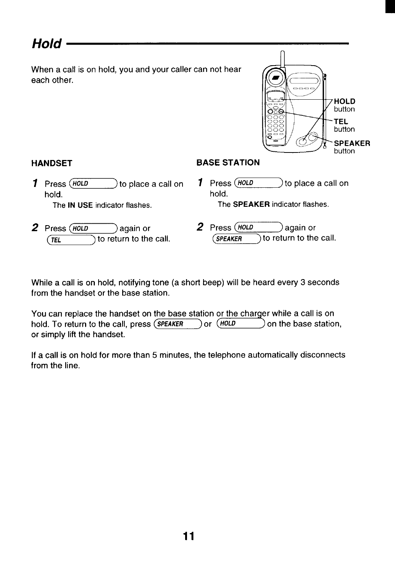# <span id="page-11-0"></span>**Hold**

**When a call is on hold, you and your caller can not hear each other.**



### **HANDSET**

#### **BASE STATION**

**1 Press**  $(HOLD)$  **to place a** call on **1 Press**  $(HOLD)$  **to place a** call on **hold. hold.**

- $(\overline{TEL})$  to return to the call.
- 

**The IN USE indicatorflashes. The SPEAKER indicatorflashes.**

**2 Press (\*OLD**) **again or 2 Press (\*DLD**) **again or** *(\****<b>FFI**) **to return** to the call.

**While a call is on hold, notifying tone (a short beep) will be heard every 3 seconds from the handset or the base station.**

**You can replace the handset on the base station or the char er while a call is on hold.** To return to the call, press  $\overline{\text{SPEAKER}}$  or  $\overline{\text{HOLD}}$  on the base station, **or simply lift the handset.**

**If a call is on hold for more than 5 minutes, the telephone automatically disconnects from the line.**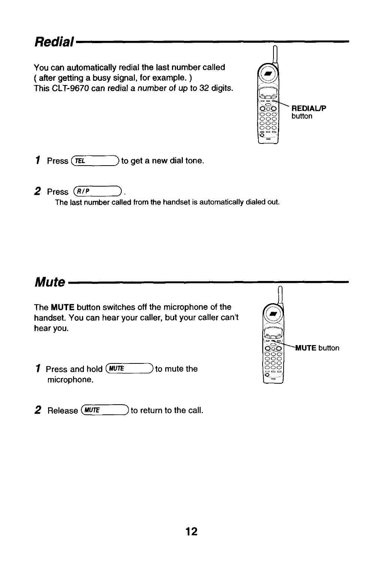# <span id="page-12-0"></span>**Redial**

**You can automatically redial the last number called ( after getting a busy signal, for example. ) This CLT-9670 can redial a number of up to 32 digits. ' "**



**1** Press  $(\overline{rel})$  to get a new dial tone.

 $2$  **Press**  $(R/P)$ The last number called from the handset is automatically dialed out.

#### **Mute The MUTE button switches off the microphone of the d handset. You can hear your caller, but your caller can't om hear You. . . <m 1** Press and hold  $(W^T E \t)$  to mute the **microphone. IT, AUTE** button יפ ە ب ب ات .-.  $\mathbf{v}_-$

2 Release (MUTE **Release (~] to return to the call.**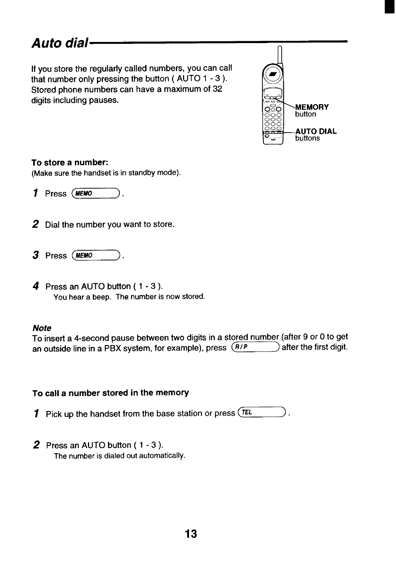# <span id="page-13-0"></span>**Auto dial**

**If you store the regularly called numbers, you can call that number only pressing the button ( AUTO 1- 3). Stored phone numbers can have a maximum of 32 digits including pauses.**



#### **To store a number:**

**(Make sure the handsetis in standbymode).**

- 1 Press (MEMO
- **z Dial the number you want to store.**
- 3 Press (MEMO
- **d Press an AUTO button ( 1- 3). You hear a beep. The numberis nowstored.**

#### **Note**

**To insert a 4-second pause between** *two digits in a stored number (after 9 or O to* **9et an** outside line in a PBX system, for example), press  $\overline{(R/P)}$ 

#### **To call a number stored in the memory**

1 **Pick up the handset from the base station or press (~>.**

**2 Press an AUTO button ( 1- 3). The number is dialed out automatically.**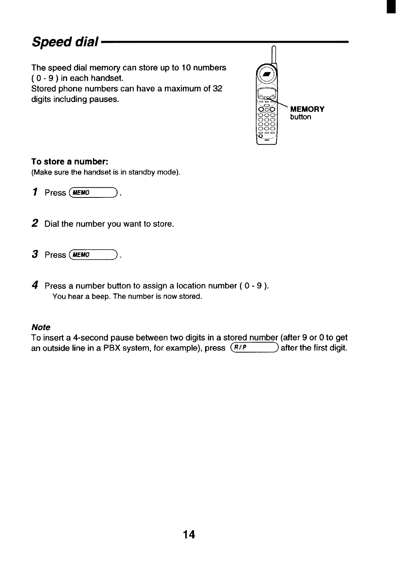# <span id="page-14-0"></span>**Speed dial**

**The speed dial memory can store up to 10 numbers ( 0-9 ) in each handset.**

 $\frac{1}{2}$  **Stored** phone numbers can have a maximum of 32 **digits including pauses.**



#### **To store a number:**

**(Make sure the handsetis instandbymode).**

- $\bm{J}$  Press (*ME*
- **2 Dial the number you want to store.**
- $3$  Press (*MEM*
- **4 Press a number button to assign a location number ( 0-9 ). You hear a beep. The number i; now stored.**

#### **Note**

**To inseri a 4-second pause between two digits in a stored number (after 9 or Oto get an outside** line in a PBX system, for example), press  $(R/P)$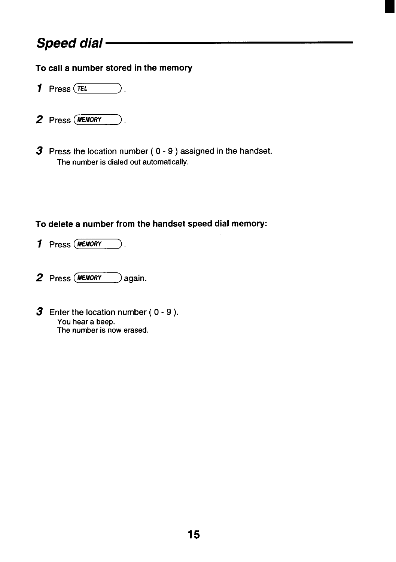# **Speed dial**

### **To call a number stored in the memory**

- $1$  **Press**  $TEL$
- 2 Press (MEMORY
- **s Press the location number ( 0-9 ) assigned in the handset. The numberis dialedout automatically.**

### **To delete a number from the handset speed dial memory:**

- **1 Press (~).**
- 2 **Press** (MEMORY ) again.
- **3 Enter the location number ( 0-9 ) You hear a beep. The number is now erased.**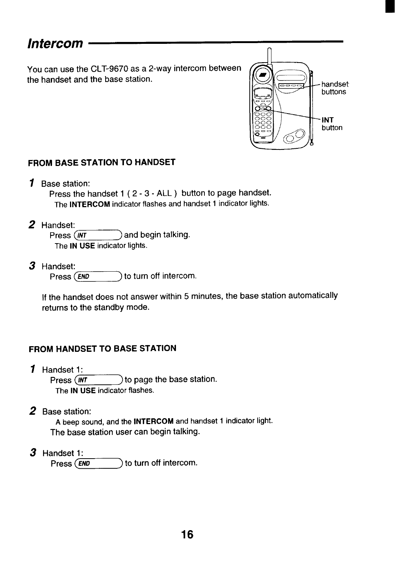# <span id="page-16-0"></span>**Intercom**

**You can use the CLT-9670 as a 2-way intercom between the handset and the base station.**



### **FROM BASE STATION TO HANDSET**

**1 Base station:**

**Press the handset 1 ( 2-3- ALL) button to page handset. The INTERCOM indicatorflashesand handset 1 indicatorlights.**

**2 Handset:**

**Press**  $\overline{(\text{INT})}$  and begin talking. **The IN USE** indicator lights.

**3 Handset:**

**Press**  $(FND)$  **to turn** off **intercom.** 

**If the handset does not answer within 5 minutes, the base station automatically returns to the standby mode.**

# **FROM HANDSET TO BASE STATION**

- **I Handset 1: Press**  $\overline{(\text{NT} + \text{ny})}$  to page the base station. **The IN USE indicator flashes.**
- **z Base station:**

**A beep sound,and the INTERCOM and handset 1 indicatorlight. The base station user can begin talking.**

**3** Handset 1:<br>Press (END

**PreSS** *[E~)* **to turn off intercom.**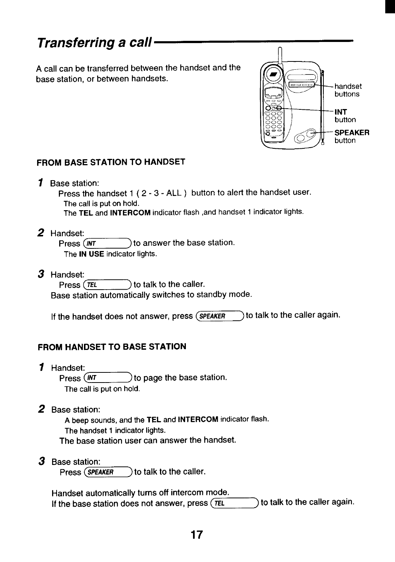# <span id="page-17-0"></span>**Transferring a call**

**A call can be transferred between the handset and the base station, or between handsets.**



# **FROM BASE STATION TO HANDSET**

**1 Base station:**

**Press the handset 1 ( 2-3- ALL ) button to alert the handset user. The call is put on hold. The TEL and INTERCOM indicator flash ,and handset 1 indicator lights.**

**z Handset:**

**Press**  $\overline{(\text{INT})}$  to answer the base station. **The IN USE indicator lights.**

**a Handset:**

 $\mathsf{Press}$   $\overline{\mathsf{TEL}}$  **to** talk to the caller.

**Base station automatically switches to standby mode.**

If the handset does not answer, press  $\overline{\text{SPEAKER}}$  to talk to the caller again.

# **FROM HANDSET TO BASE STATION**

**1 Handset:**

**Press (~) to page the base station. The call is put on hold.**

**z Base station:**

**A beep sounds, and the TEL and INTERCOM indicator flash. The handset 1 indicator lights. The base station user can answer the handset.**

**a Base station:**

 $\sqrt{P}$  **Press**  $\left(\frac{SPEAKER}{P}\right)$  to talk to the caller.

**Handset automatically turns off intercom mode. If the base station does not answer, press (~) to talk to the caller again.**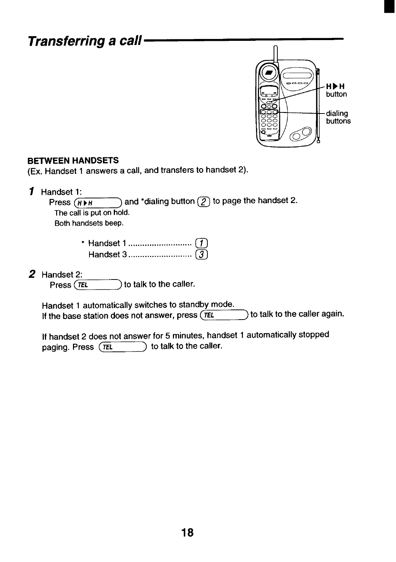# **Transferring a call**



#### **BETWEEN HANDSETS**

**(Ex. Handset 1 answers a call, and transfers to handset 2).**

**7 Handset 1:**  $\rightarrow$  **and 'dialing button**  $\widehat{Z}$  **to page** the **handset** 2. **The call is puton hold. Both handsets beep.**

*z* **Handset 2:**<br>**Press** *TEL* 

**Press (~) to talk to the caller.**

**Handset 1 automatically switches to standby mode.** If the base station does not answer, press  $(TEL)$  to talk to the caller again.

**If handset 2 does not answer for 5 minutes, handset 1 automatically stopped paging.** Press  $(TEL)$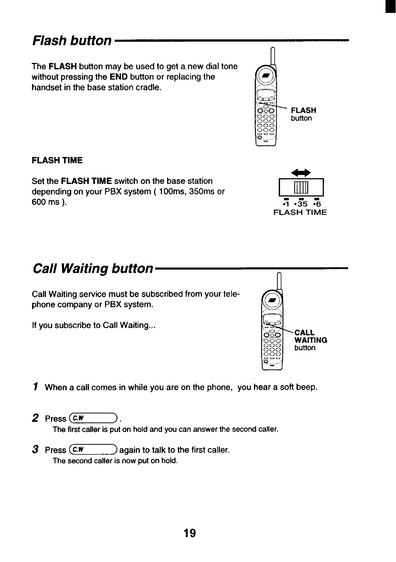# <span id="page-19-0"></span>**Flash button**

**The FLASH button may be used to get a new dial tone without pressing the END button or replacing the handset in the base station cradle.**

### **FLASH TIME**

**Set the FLASH TIME switch on the base station depending on your PBX system ( 10Oms, 350ms or 600 ms ).**

# **Call Waiting button**

**Call Waiting service must be subscribed from your telephone company or PBX system.**

**If you subscribe to Call Waiting...**

**1 When a call comes in while you are on the phone, you hear a soft beep.**

 $2$  **Press**  $\overline{c}$ .

**The first caller is put on hold and you can answer the second caller.**

**3** Press  $\overline{(c \cdot w)}$  again to talk to the first caller. The second caller is now put on hold.





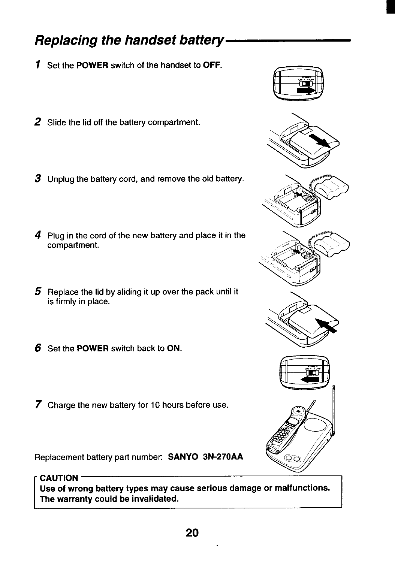# 20

# <span id="page-20-0"></span>**Replacing the handset battery**

- 1 **Set the POWER switch of the handset to OFF.**
- **2 Slide the lid off the battery compartment.**
- **3 Unplug the battery cord, and remove the old battery.**
- **4 Plug in the cord of the new battery and place it in the compartment.**
- **5 Replace the lid by sliding it up over the pack until it is firmly in place.**
- **6 Set the POWER switch back to ON.**
- **7 Charge the new battery for 10 hours before use.**

**Replacement battery part number SANYO 3N-270AA**

**CAUTION Use of wrong battery types may cause serious damage or malfunctions. The warranty could be invalidated.**

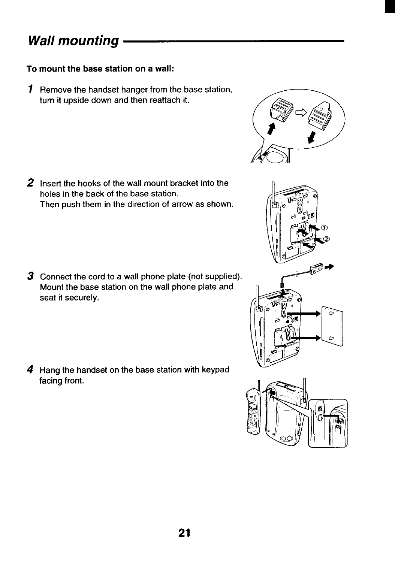# <span id="page-21-0"></span>**Wall mounting**

# **To mount the base station on a wall:**

1 **Remove the handset hanger from the base station, turn it upside down and then reattach it.**

**z Insert the hooks of the wall mount bracket into the holes in the back of the base station. Then push them in the direction of arrow as shown.**

**3 Connect the cord to a wall phone plate (not supplied). Mount the base station on the wall phone plate and seat it securely.**

**4 Hang the handset on the base station with keypad facing front.**





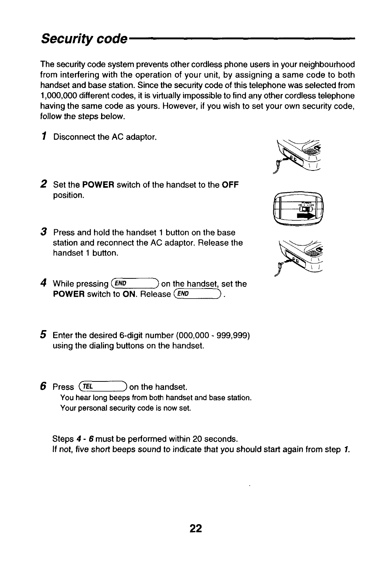# <span id="page-22-0"></span>**Security code**

**The security code system prevents other cordless phone users in your neighbourhood from interfering with the operation of your unit, by assigning a same code to both handset and base station. Since the security code of this telephone was selected from 1,000,000 different codes, it is virtually impossible to find any other cordless telephone having the same code as yours. However, if you wish to set your own security code, follow the steps below.**

- 1 **Disconnect the AC adaptor.**
- **2 Set the POWER switch of the handset to the OFF position.**
- **3 Press and hold the handset 1 button on the base station and reconnect the AC adaptor. Release the handset 1 button.**
- 4 While pressing (*END* **While pressing ~~] on the handset, set the POWER** switch to ON. Release (*END*)
- **5 Enter the desired 6-digit number (000,000 999,999) using the dialing buttons on the handset.**
- $6$  Press  $(TEL)$ **Press ~Kl ) on the handset. You hear long beeps from both handset and base station. Your personal security code is now set.**

**Steps 4-6 must be performed within 20 seconds. If not, five short beeps sound to indicate that you should start again from step 1.**





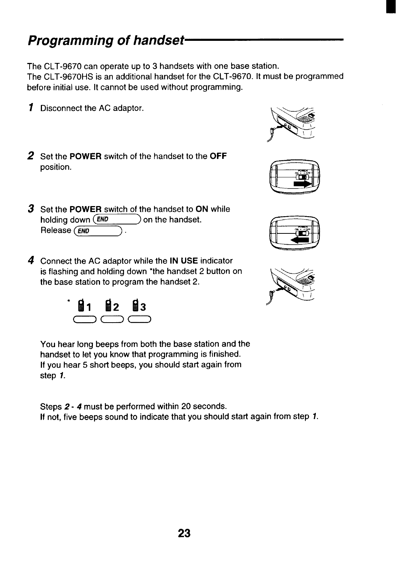<span id="page-23-0"></span>**The CLT-9670 can operate up to 3 handsets with one base station.**

**The CLT-9670HS is an additional handset for the CLT-9670. It must be programmed before initial use. It cannot be used without programming.**

- 1 **Disconnect the AC adaptor.**
- **2 Set the POWER switch of the handset to the OFF position.**









- **3 Set the POWER switch of the handset to ON while holding down**  $(END$  **on the handset. Release (\_END >.**
- **4 Connect the AC adaptor while the IN USE indicator is flashing and holding down 'the handset 2 button on the base station to program the handset 2.**



**You hear long beeps from both the base station and the handset to let you know that programming is finished. If you hear 5 short beeps, you should starl again from step** 1.

**Steps 2-4 must be performed within 20 seconds. If not, five beeps sound to indicate that you should start again from step** 1.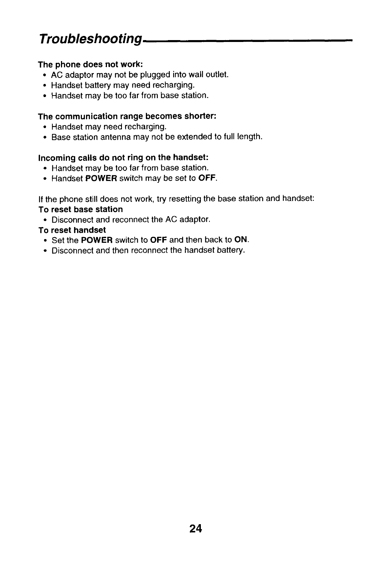# <span id="page-24-0"></span>**Troubleshooting**

#### **The phone does not work:**

- **AC adaptor may not be plugged into wall outlet.**
- **Handset battery may need recharging.**
- **Handset may be too far from base station.**

#### **The communication range becomes shorter:**

- **Handset may need recharging.**
- **Base station antenna may not be extended to full length.**

### **Incoming calls do not ring on the handset:**

- **c Handset maybe too far from base station.**
- **Handset POWER switch may be set to OFF.**

**If the phone still does not work, try resetting the base station and handset: To reset base station**

● **Disconnect and reconnect the AC adaptor.**

### **To reset handset**

- **Set the POWER switch to OFF and then back to ON.**
- **Disconnect and then reconnect the handset battery.**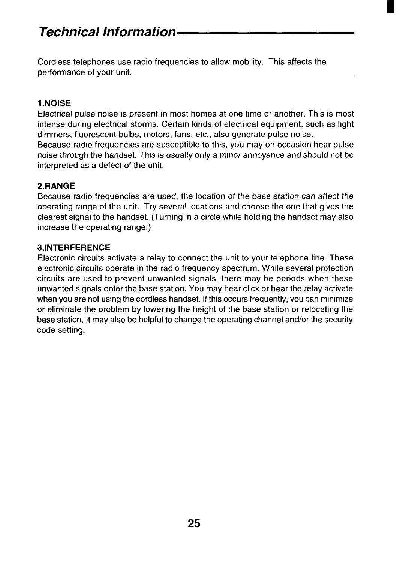<span id="page-25-0"></span>**Cordless telephones use radio frequencies to allow mobility. This affects the performance of your unit.**

### **1.NOISE**

**Electrical pulse noise is present in most homes at one time or another. This is most intense during electrical storms. Certain kinds of electrical equipment, such as light dimmers, fluorescent bulbs, motors, fans, etc., also generate pulse noise.**

**Because radio frequencies are susceptible to this, you may on occasion hear pulse noise through the handset. This is usually only a minor annoyance and should not be interpreted as a defect of the unit.**

### **2. RANGE**

**Because radio frequencies are used, the location of the base station can affect the operating range of the unit. Try several locations and choose the one that gives the clearest signal to the handset. (Turning in a circle while holding the handset may also increase the operating range.)**

### **3.1NTERFERENCE**

**Electronic circuits activate a relay to connect the unit to your telephone line. These electronic circuits operate in the radio frequency spectrum. While several protection circuits are used to prevent unwanted signals, there may be periods when these unwanted signals enter the base station. You may hear click or hear the relay activate when you are not using the cordless handset. Ifthis occurs frequently, you can minimize or eliminate the problem by lowering the height of the base station or relocating the base station. It may also be helpful to change the operating channel ancflorthe security code setting.**